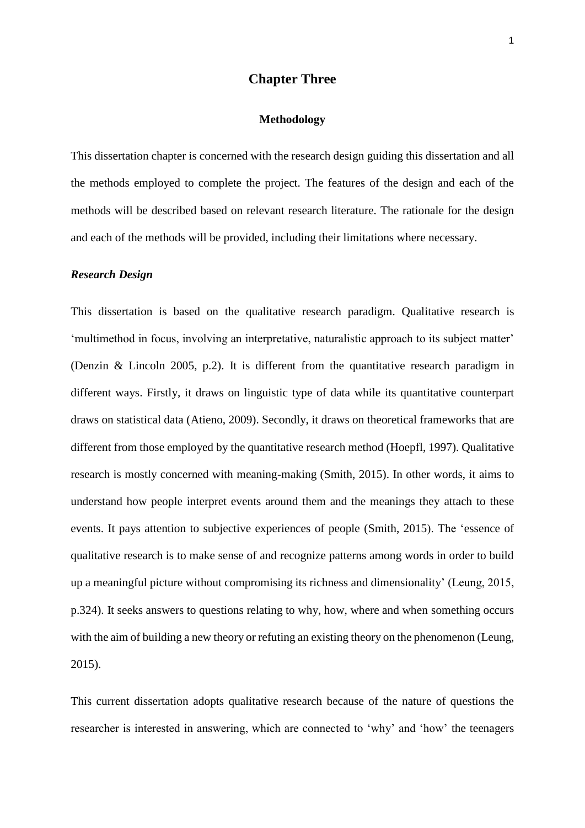# **Chapter Three**

#### **Methodology**

This dissertation chapter is concerned with the research design guiding this dissertation and all the methods employed to complete the project. The features of the design and each of the methods will be described based on relevant research literature. The rationale for the design and each of the methods will be provided, including their limitations where necessary.

### *Research Design*

This dissertation is based on the qualitative research paradigm. Qualitative research is 'multimethod in focus, involving an interpretative, naturalistic approach to its subject matter' (Denzin & Lincoln 2005, p.2). It is different from the quantitative research paradigm in different ways. Firstly, it draws on linguistic type of data while its quantitative counterpart draws on statistical data (Atieno, 2009). Secondly, it draws on theoretical frameworks that are different from those employed by the quantitative research method (Hoepfl, 1997). Qualitative research is mostly concerned with meaning-making (Smith, 2015). In other words, it aims to understand how people interpret events around them and the meanings they attach to these events. It pays attention to subjective experiences of people (Smith, 2015). The 'essence of qualitative research is to make sense of and recognize patterns among words in order to build up a meaningful picture without compromising its richness and dimensionality' (Leung, 2015, p.324). It seeks answers to questions relating to why, how, where and when something occurs with the aim of building a new theory or refuting an existing theory on the phenomenon (Leung, 2015).

This current dissertation adopts qualitative research because of the nature of questions the researcher is interested in answering, which are connected to 'why' and 'how' the teenagers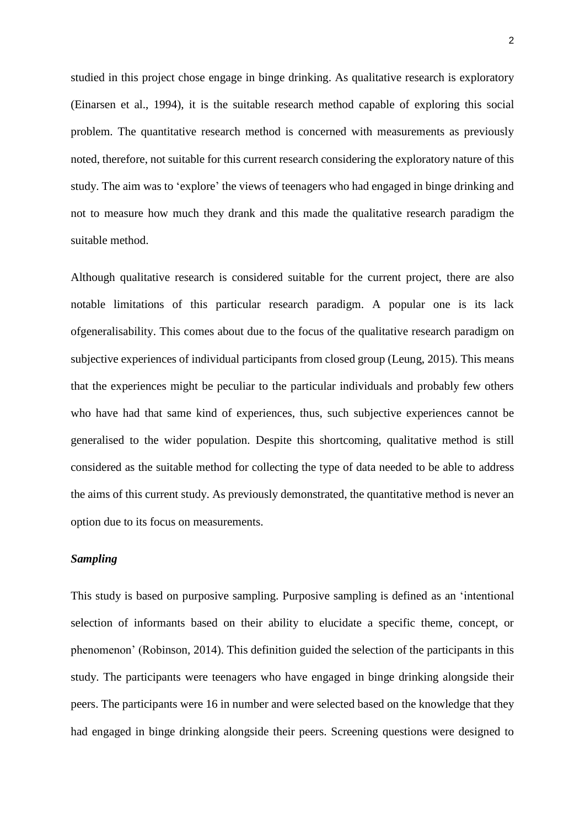studied in this project chose engage in binge drinking. As qualitative research is exploratory (Einarsen et al., 1994), it is the suitable research method capable of exploring this social problem. The quantitative research method is concerned with measurements as previously noted, therefore, not suitable for this current research considering the exploratory nature of this study. The aim was to 'explore' the views of teenagers who had engaged in binge drinking and not to measure how much they drank and this made the qualitative research paradigm the suitable method.

Although qualitative research is considered suitable for the current project, there are also notable limitations of this particular research paradigm. A popular one is its lack ofgeneralisability. This comes about due to the focus of the qualitative research paradigm on subjective experiences of individual participants from closed group (Leung, 2015). This means that the experiences might be peculiar to the particular individuals and probably few others who have had that same kind of experiences, thus, such subjective experiences cannot be generalised to the wider population. Despite this shortcoming, qualitative method is still considered as the suitable method for collecting the type of data needed to be able to address the aims of this current study. As previously demonstrated, the quantitative method is never an option due to its focus on measurements.

# *Sampling*

This study is based on purposive sampling. Purposive sampling is defined as an 'intentional selection of informants based on their ability to elucidate a specific theme, concept, or phenomenon' (Robinson, 2014). This definition guided the selection of the participants in this study. The participants were teenagers who have engaged in binge drinking alongside their peers. The participants were 16 in number and were selected based on the knowledge that they had engaged in binge drinking alongside their peers. Screening questions were designed to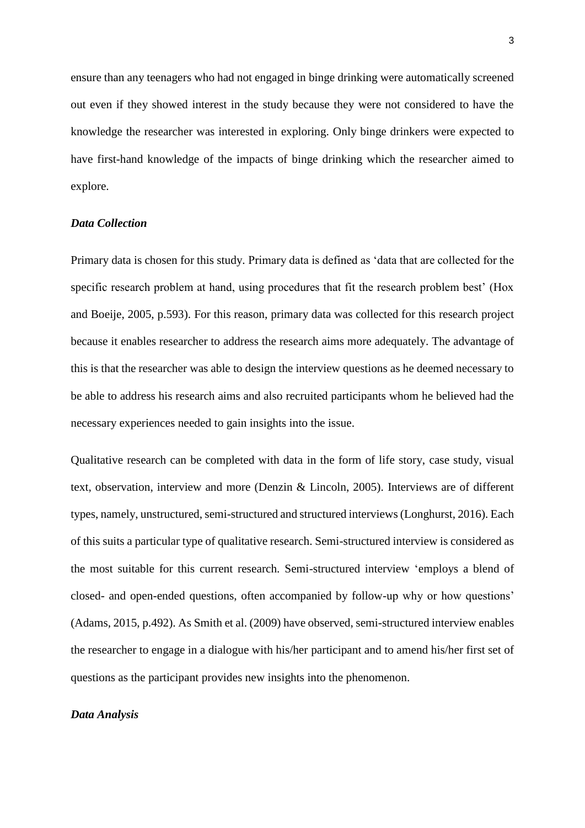ensure than any teenagers who had not engaged in binge drinking were automatically screened out even if they showed interest in the study because they were not considered to have the knowledge the researcher was interested in exploring. Only binge drinkers were expected to have first-hand knowledge of the impacts of binge drinking which the researcher aimed to explore.

## *Data Collection*

Primary data is chosen for this study. Primary data is defined as 'data that are collected for the specific research problem at hand, using procedures that fit the research problem best' (Hox and Boeije, 2005, p.593). For this reason, primary data was collected for this research project because it enables researcher to address the research aims more adequately. The advantage of this is that the researcher was able to design the interview questions as he deemed necessary to be able to address his research aims and also recruited participants whom he believed had the necessary experiences needed to gain insights into the issue.

Qualitative research can be completed with data in the form of life story, case study, visual text, observation, interview and more (Denzin & Lincoln, 2005). Interviews are of different types, namely, unstructured, semi-structured and structured interviews (Longhurst, 2016). Each of this suits a particular type of qualitative research. Semi-structured interview is considered as the most suitable for this current research. Semi-structured interview 'employs a blend of closed- and open-ended questions, often accompanied by follow-up why or how questions' (Adams, 2015, p.492). As Smith et al. (2009) have observed, semi-structured interview enables the researcher to engage in a dialogue with his/her participant and to amend his/her first set of questions as the participant provides new insights into the phenomenon.

## *Data Analysis*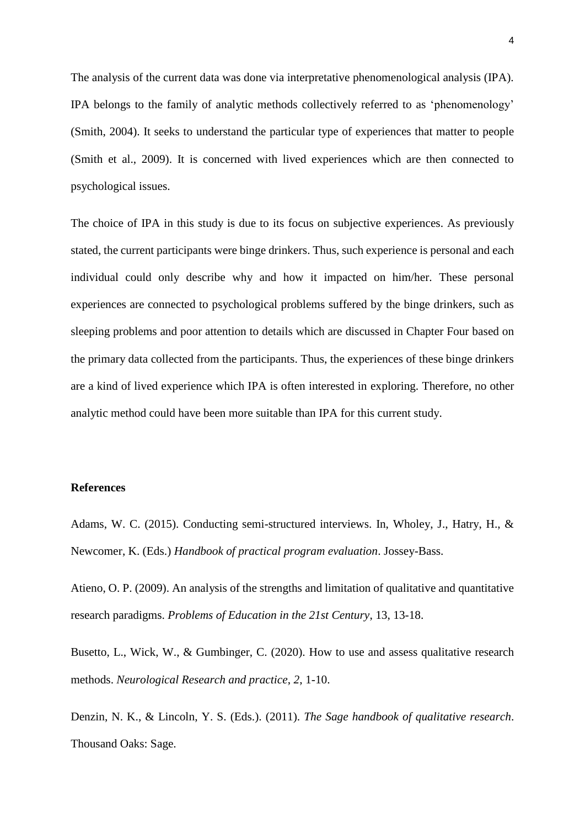The analysis of the current data was done via interpretative phenomenological analysis (IPA). IPA belongs to the family of analytic methods collectively referred to as 'phenomenology' (Smith, 2004). It seeks to understand the particular type of experiences that matter to people (Smith et al., 2009). It is concerned with lived experiences which are then connected to psychological issues.

The choice of IPA in this study is due to its focus on subjective experiences. As previously stated, the current participants were binge drinkers. Thus, such experience is personal and each individual could only describe why and how it impacted on him/her. These personal experiences are connected to psychological problems suffered by the binge drinkers, such as sleeping problems and poor attention to details which are discussed in Chapter Four based on the primary data collected from the participants. Thus, the experiences of these binge drinkers are a kind of lived experience which IPA is often interested in exploring. Therefore, no other analytic method could have been more suitable than IPA for this current study.

#### **References**

Adams, W. C. (2015). Conducting semi-structured interviews. In, Wholey, J., Hatry, H., & Newcomer, K. (Eds.) *Handbook of practical program evaluation*. Jossey-Bass.

Atieno, O. P. (2009). An analysis of the strengths and limitation of qualitative and quantitative research paradigms. *Problems of Education in the 21st Century*, 13, 13-18.

Busetto, L., Wick, W., & Gumbinger, C. (2020). How to use and assess qualitative research methods. *Neurological Research and practice*, *2*, 1-10.

Denzin, N. K., & Lincoln, Y. S. (Eds.). (2011). *The Sage handbook of qualitative research*. Thousand Oaks: Sage.